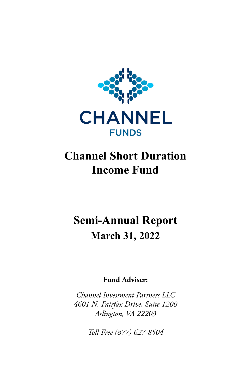

# **Channel Short Duration Income Fund**

# **Semi-Annual Report March 31, 2022**

**Fund Adviser:**

*Channel Investment Partners LLC 4601 N. Fairfax Drive, Suite 1200 Arlington, VA 22203*

*Toll Free (877) 627-8504*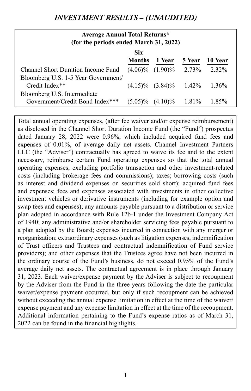### *INVESTMENT RESULTS – (UNAUDITED)*

#### **Average Annual Total Returns\* (for the periods ended March 31, 2022)**

|                                                          | <b>Six</b>    |                                         |        |           |
|----------------------------------------------------------|---------------|-----------------------------------------|--------|-----------|
|                                                          | <b>Months</b> | 1 Year                                  | 5 Year | 10 Year   |
| Channel Short Duration Income Fund $(4.06)\%$ $(1.90)\%$ |               |                                         | 2.73%  | $2.32\%$  |
| Bloomberg U.S. 1-5 Year Government/                      |               |                                         |        |           |
| Credit Index**                                           |               | $(4.15)\%$ $(3.84)\%$ $1.42\%$ $1.36\%$ |        |           |
| Bloomberg U.S. Intermediate                              |               |                                         |        |           |
| Government/Credit Bond Index***                          |               | $(5.05)\%$ $(4.10)\%$ $1.81\%$          |        | $-1.85\%$ |

Total annual operating expenses, (after fee waiver and/or expense reimbursement) as disclosed in the Channel Short Duration Income Fund (the "Fund") prospectus dated January 28, 2022 were 0.96%, which included acquired fund fees and expenses of 0.01%, of average daily net assets. Channel Investment Partners LLC (the "Adviser") contractually has agreed to waive its fee and to the extent necessary, reimburse certain Fund operating expenses so that the total annual operating expenses, excluding portfolio transaction and other investment-related costs (including brokerage fees and commissions); taxes; borrowing costs (such as interest and dividend expenses on securities sold short); acquired fund fees and expenses; fees and expenses associated with investments in other collective investment vehicles or derivative instruments (including for example option and swap fees and expenses); any amounts payable pursuant to a distribution or service plan adopted in accordance with Rule 12b-1 under the Investment Company Act of 1940; any administrative and/or shareholder servicing fees payable pursuant to a plan adopted by the Board; expenses incurred in connection with any merger or reorganization; extraordinary expenses (such as litigation expenses, indemnification of Trust officers and Trustees and contractual indemnification of Fund service providers); and other expenses that the Trustees agree have not been incurred in the ordinary course of the Fund's business, do not exceed 0.95% of the Fund's average daily net assets. The contractual agreement is in place through January 31, 2023. Each waiver/expense payment by the Adviser is subject to recoupment by the Adviser from the Fund in the three years following the date the particular waiver/expense payment occurred, but only if such recoupment can be achieved without exceeding the annual expense limitation in effect at the time of the waiver/ expense payment and any expense limitation in effect at the time of the recoupment. Additional information pertaining to the Fund's expense ratios as of March 31, 2022 can be found in the financial highlights.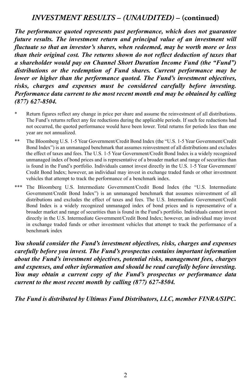### *INVESTMENT RESULTS – (UNAUDITED) –* **(continued)**

*The performance quoted represents past performance, which does not guarantee future results. The investment return and principal value of an investment will fluctuate so that an investor's shares, when redeemed, may be worth more or less than their original cost. The returns shown do not reflect deduction of taxes that a shareholder would pay on Channel Short Duration Income Fund (the "Fund") distributions or the redemption of Fund shares. Current performance may be lower or higher than the performance quoted. The Fund's investment objectives, risks, charges and expenses must be considered carefully before investing. Performance data current to the most recent month end may be obtained by calling (877) 627-8504.*

- Return figures reflect any change in price per share and assume the reinvestment of all distributions. The Fund's returns reflect any fee reductions during the applicable periods. If such fee reductions had not occurred, the quoted performance would have been lower. Total returns for periods less than one year are not annualized.
- \*\* The Bloomberg U.S. 1-5 Year Government/Credit Bond Index (the "U.S. 1-5 Year Government/Credit Bond Index") is an unmanaged benchmark that assumes reinvestment of all distributions and excludes the effect of taxes and fees. The U.S. 1-5 Year Government/Credit Bond Index is a widely recognized unmanaged index of bond prices and is representative of a broader market and range of securities than is found in the Fund's portfolio. Individuals cannot invest directly in the U.S. 1-5 Year Government/ Credit Bond Index; however, an individual may invest in exchange traded funds or other investment vehicles that attempt to track the performance of a benchmark index.
- \*\*\* The Bloomberg U.S. Intermediate Government/Credit Bond Index (the "U.S. Intermediate Government/Credit Bond Index") is an unmanaged benchmark that assumes reinvestment of all distributions and excludes the effect of taxes and fees. The U.S. Intermediate Government/Credit Bond Index is a widely recognized unmanaged index of bond prices and is representative of a broader market and range of securities than is found in the Fund's portfolio. Individuals cannot invest directly in the U.S. Intermediate Government/Credit Bond Index; however, an individual may invest in exchange traded funds or other investment vehicles that attempt to track the performance of a benchmark index

*You should consider the Fund's investment objectives, risks, charges and expenses carefully before you invest. The Fund's prospectus contains important information about the Fund's investment objectives, potential risks, management fees, charges and expenses, and other information and should be read carefully before investing. You may obtain a current copy of the Fund's prospectus or performance data current to the most recent month by calling (877) 627-8504.*

*The Fund is distributed by Ultimus Fund Distributors, LLC, member FINRA/SIPC.*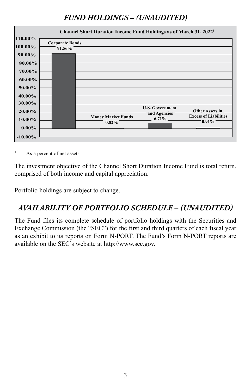### *FUND HOLDINGS – (UNAUDITED)*

|            |                        | Channel Short Duration Income Fund Holdings as of March 31, 2022 <sup>1</sup> |                                        |                                       |
|------------|------------------------|-------------------------------------------------------------------------------|----------------------------------------|---------------------------------------|
| 110.00%    |                        |                                                                               |                                        |                                       |
| 100.00%    | <b>Corporate Bonds</b> |                                                                               |                                        |                                       |
| 90.00%     | 91.56%                 |                                                                               |                                        |                                       |
| 80.00%     |                        |                                                                               |                                        |                                       |
| 70.00%     |                        |                                                                               |                                        |                                       |
| 60.00%     |                        |                                                                               |                                        |                                       |
| 50.00%     |                        |                                                                               |                                        |                                       |
| 40.00%     |                        |                                                                               |                                        |                                       |
| 30.00%     |                        |                                                                               |                                        |                                       |
| 20.00%     |                        |                                                                               | <b>U.S. Government</b><br>and Agencies | Other Assets in _                     |
| 10.00%     |                        | <b>Money Market Funds</b><br>0.82%                                            | $6.71\%$                               | <b>Excess of Liabilities</b><br>0.91% |
| $0.00\%$   |                        |                                                                               |                                        |                                       |
| $-10.00\%$ |                        |                                                                               |                                        |                                       |

 $<sup>1</sup>$  As a percent of net assets.</sup>

The investment objective of the Channel Short Duration Income Fund is total return, comprised of both income and capital appreciation.

Portfolio holdings are subject to change.

### *AVAILABILITY OF PORTFOLIO SCHEDULE – (UNAUDITED)*

The Fund files its complete schedule of portfolio holdings with the Securities and Exchange Commission (the "SEC") for the first and third quarters of each fiscal year as an exhibit to its reports on Form N-PORT. The Fund's Form N-PORT reports are available on the SEC's website at http://www.sec.gov.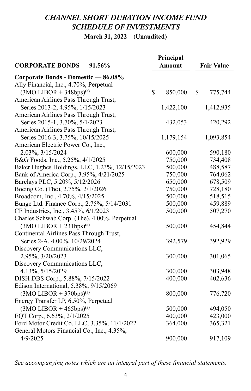## *CHANNEL SHORT DURATION INCOME FUND SCHEDULE OF INVESTMENTS*

**March 31, 2022 – (Unaudited)**

|                                               | Principal     |                   |
|-----------------------------------------------|---------------|-------------------|
| <b>CORPORATE BONDS - 91.56%</b>               | Amount        | <b>Fair Value</b> |
| Corporate Bonds - Domestic - 86.08%           |               |                   |
| Ally Financial, Inc., 4.70%, Perpetual        |               |                   |
| $(3MO LIBOR + 348bps)^{(a)}$                  | \$<br>850,000 | \$<br>775,744     |
| American Airlines Pass Through Trust,         |               |                   |
| Series 2013-2, 4.95%, 1/15/2023               | 1,422,100     | 1,412,935         |
| American Airlines Pass Through Trust,         |               |                   |
| Series 2015-1, 3.70%, 5/1/2023                | 432,053       | 420,292           |
| American Airlines Pass Through Trust,         |               |                   |
| Series 2016-3, 3.75%, 10/15/2025              | 1,179,154     | 1,093,854         |
| American Electric Power Co., Inc.,            |               |                   |
| 2.03%, 3/15/2024                              | 600,000       | 590,180           |
| B&G Foods, Inc., 5.25%, 4/1/2025              | 750,000       | 734,408           |
| Baker Hughes Holdings, LLC, 1.23%, 12/15/2023 | 500,000       | 488,587           |
| Bank of America Corp., 3.95%, 4/21/2025       | 750,000       | 764,062           |
| Barclays PLC, 5.20%, 5/12/2026                | 650,000       | 678,509           |
| Boeing Co. (The), 2.75%, 2/1/2026             | 750,000       | 728,180           |
| Broadcom, Inc., 4.70%, 4/15/2025              | 500,000       | 518,515           |
| Bunge Ltd. Finance Corp., 2.75%, 5/14/2031    | 500,000       | 459,889           |
| CF Industries, Inc., 3.45%, 6/1/2023          | 500,000       | 507,270           |
| Charles Schwab Corp. (The), 4.00%, Perpetual  |               |                   |
| $(3MO LIBOR + 231bps)^{(a)}$                  | 500,000       | 454,844           |
| Continental Airlines Pass Through Trust,      |               |                   |
| Series 2-A, 4.00%, 10/29/2024                 | 392,579       | 392,929           |
| Discovery Communications LLC,                 |               |                   |
| 2.95%, 3/20/2023                              | 300,000       | 301,065           |
| Discovery Communications LLC,                 |               |                   |
| 4.13%, 5/15/2029                              | 300,000       | 303,948           |
| DISH DBS Corp., 5.88%, 7/15/2022              | 400,000       | 402,636           |
| Edison International, 5.38%, 9/15/2069        |               |                   |
| $(3MO LIBOR + 370bps)^{(a)}$                  | 800,000       | 776,720           |
| Energy Transfer LP, 6.50%, Perpetual          |               |                   |
| $(3MO LIBOR + 465bps)^{(a)}$                  | 500,000       | 494,050           |
| EQT Corp., 6.63%, 2/1/2025                    | 400,000       | 423,000           |
| Ford Motor Credit Co. LLC, 3.35%, 11/1/2022   | 364,000       | 365,321           |
| General Motors Financial Co., Inc., 4.35%,    |               |                   |
| 4/9/2025                                      | 900,000       | 917,109           |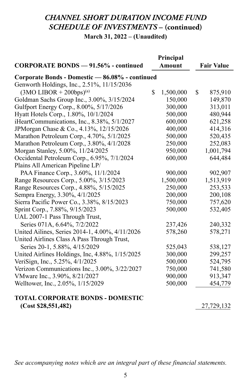### *CHANNEL SHORT DURATION INCOME FUND SCHEDULE OF INVESTMENTS* **– (continued) March 31, 2022 – (Unaudited)**

|                                                 | Principal       |                   |
|-------------------------------------------------|-----------------|-------------------|
| <b>CORPORATE BONDS</b> - 91.56% - continued     | <b>Amount</b>   | <b>Fair Value</b> |
| Corporate Bonds - Domestic - 86.08% - continued |                 |                   |
| Genworth Holdings, Inc., 2.51%, 11/15/2036      |                 |                   |
| $(3MO LIBOR + 200bps)^{(a)}$                    | \$<br>1,500,000 | \$<br>875,910     |
| Goldman Sachs Group Inc., 3.00%, 3/15/2024      | 150,000         | 149,870           |
| Gulfport Energy Corp., 8.00%, 5/17/2026         | 300,000         | 313,011           |
| Hyatt Hotels Corp., 1.80%, 10/1/2024            | 500,000         | 480,944           |
| iHeartCommunications, Inc., 8.38%, 5/1/2027     | 600,000         | 621,258           |
| JPMorgan Chase & Co., 4.13%, 12/15/2026         | 400,000         | 414,316           |
| Marathon Petroleum Corp., 4.70%, 5/1/2025       | 500,000         | 520,435           |
| Marathon Petroleum Corp., 3.80%, 4/1/2028       | 250,000         | 252,083           |
| Morgan Stanley, 5.00%, 11/24/2025               | 950,000         | 1,001,794         |
| Occidental Petroleum Corp., 6.95%, 7/1/2024     | 600,000         | 644,484           |
| Plains All American Pipeline LP/                |                 |                   |
| PAA Finance Corp., 3.60%, 11/1/2024             | 900,000         | 902,907           |
| Range Resources Corp., 5.00%, 3/15/2023         | 1,500,000       | 1,513,919         |
| Range Resources Corp., 4.88%, 5/15/2025         | 250,000         | 253,533           |
| Sempra Energy, 3.30%, 4/1/2025                  | 200,000         | 200,108           |
| Sierra Pacific Power Co., 3.38%, 8/15/2023      | 750,000         | 757,620           |
| Sprint Corp., 7.88%, 9/15/2023                  | 500,000         | 532,405           |
| UAL 2007-1 Pass Through Trust,                  |                 |                   |
| Series 071A, 6.64%, 7/2/2022                    | 237,426         | 240,332           |
| United Ailines, Series 2014-1, 4.00%, 4/11/2026 | 578,260         | 578,271           |
| United Airlines Class A Pass Through Trust,     |                 |                   |
| Series 20-1, 5.88%, 4/15/2029                   | 525,043         | 538,127           |
| United Airlines Holdings, Inc, 4.88%, 1/15/2025 | 300,000         | 299,257           |
| VeriSign, Inc., 5.25%, 4/1/2025                 | 500,000         | 524,795           |
| Verizon Communications Inc., 3.00%, 3/22/2027   | 750,000         | 741,580           |
| VMware Inc., 3.90%, 8/21/2027                   | 900,000         | 913,347           |
| Welltower, Inc., 2.05%, 1/15/2029               | 500,000         | 454,779           |
| <b>TOTAL CORPORATE BONDS - DOMESTIC</b>         |                 |                   |

**(Cost \$28,551,482)** 27,729,132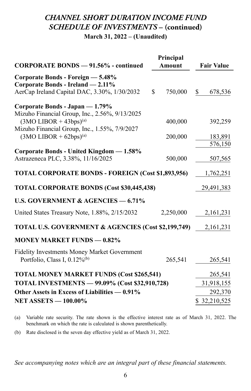### *CHANNEL SHORT DURATION INCOME FUND SCHEDULE OF INVESTMENTS* **– (continued) March 31, 2022 – (Unaudited)**

|                                                                                                                        | Principal     |                    |
|------------------------------------------------------------------------------------------------------------------------|---------------|--------------------|
| <b>CORPORATE BONDS</b> - 91.56% - continued                                                                            | <b>Amount</b> | <b>Fair Value</b>  |
| Corporate Bonds - Foreign - 5.48%<br>Corporate Bonds - Ireland - 2.11%<br>AerCap Ireland Capital DAC, 3.30%, 1/30/2032 | \$<br>750,000 | \$<br>678,536      |
| Corporate Bonds - Japan — 1.79%<br>Mizuho Financial Group, Inc., 2.56%, 9/13/2025                                      |               |                    |
| $(3MO LIBOR + 43bps)^{(a)}$<br>Mizuho Financial Group, Inc., 1.55%, 7/9/2027                                           | 400,000       | 392,259            |
| $(3MO LIBOR + 62bps)^{(a)}$                                                                                            | 200,000       | 183,891<br>576,150 |
| Corporate Bonds - United Kingdom — 1.58%                                                                               |               |                    |
| Astrazeneca PLC, 3.38%, 11/16/2025                                                                                     | 500,000       | 507,565            |
| TOTAL CORPORATE BONDS - FOREIGN (Cost \$1,893,956)                                                                     |               | 1,762,251          |
| <b>TOTAL CORPORATE BONDS (Cost \$30,445,438)</b>                                                                       |               | 29,491,383         |
| <b>U.S. GOVERNMENT &amp; AGENCIES - 6.71%</b>                                                                          |               |                    |
| United States Treasury Note, 1.88%, 2/15/2032                                                                          | 2,250,000     | 2,161,231          |
| TOTAL U.S. GOVERNMENT & AGENCIES (Cost \$2,199,749)                                                                    |               | 2,161,231          |
| <b>MONEY MARKET FUNDS - 0.82%</b>                                                                                      |               |                    |
| Fidelity Investments Money Market Government                                                                           |               |                    |
| Portfolio, Class I, 0.12% <sup>(b)</sup>                                                                               | 265,541       | 265,541            |
| <b>TOTAL MONEY MARKET FUNDS (Cost \$265,541)</b>                                                                       |               | 265,541            |
| TOTAL INVESTMENTS - 99.09% (Cost \$32,910,728)                                                                         |               | 31,918,155         |
| Other Assets in Excess of Liabilities — 0.91%                                                                          |               | 292,370            |
| <b>NET ASSETS - 100.00%</b>                                                                                            |               | \$32,210,525       |

(a) Variable rate security. The rate shown is the effective interest rate as of March 31, 2022. The benchmark on which the rate is calculated is shown parenthetically.

(b) Rate disclosed is the seven day effective yield as of March 31, 2022.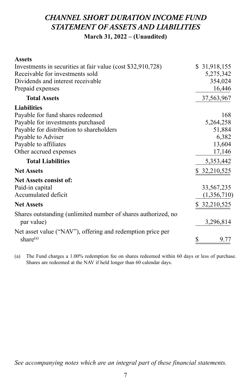### *CHANNEL SHORT DURATION INCOME FUND STATEMENT OF ASSETS AND LIABILITIES* **March 31, 2022 – (Unaudited)**

| <b>Assets</b>                                                 |               |
|---------------------------------------------------------------|---------------|
| Investments in securities at fair value (cost \$32,910,728)   | \$31,918,155  |
| Receivable for investments sold                               | 5,275,342     |
| Dividends and interest receivable                             | 354,024       |
| Prepaid expenses                                              | 16,446        |
| <b>Total Assets</b>                                           | 37,563,967    |
| <b>Liabilities</b>                                            |               |
| Payable for fund shares redeemed                              | 168           |
| Payable for investments purchased                             | 5,264,258     |
| Payable for distribution to shareholders                      | 51,884        |
| Payable to Adviser                                            | 6,382         |
| Payable to affiliates                                         | 13,604        |
| Other accrued expenses                                        | 17,146        |
| <b>Total Liabilities</b>                                      | 5,353,442     |
| <b>Net Assets</b>                                             | \$ 32,210,525 |
| <b>Net Assets consist of:</b>                                 |               |
| Paid-in capital                                               | 33,567,235    |
| Accumulated deficit                                           | (1,356,710)   |
| <b>Net Assets</b>                                             | \$ 32,210,525 |
| Shares outstanding (unlimited number of shares authorized, no |               |
| par value)                                                    | 3,296,814     |
| Net asset value ("NAV"), offering and redemption price per    |               |
| share <sup>(a)</sup>                                          | \$<br>9.77    |

(a) The Fund charges a 1.00% redemption fee on shares redeemed within 60 days or less of purchase. Shares are redeemed at the NAV if held longer than 60 calendar days.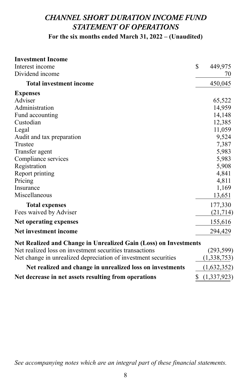## *CHANNEL SHORT DURATION INCOME FUND STATEMENT OF OPERATIONS*

**For the six months ended March 31, 2022 – (Unaudited)**

| <b>Investment Income</b>                                         |                   |
|------------------------------------------------------------------|-------------------|
| Interest income                                                  | \$<br>449,975     |
| Dividend income                                                  | 70                |
| <b>Total investment income</b>                                   | 450,045           |
| <b>Expenses</b>                                                  |                   |
| Adviser                                                          | 65,522            |
| Administration                                                   | 14,959            |
| Fund accounting                                                  | 14,148            |
| Custodian                                                        | 12,385            |
| Legal                                                            | 11,059            |
| Audit and tax preparation                                        | 9,524             |
| Trustee                                                          | 7,387             |
| Transfer agent                                                   | 5,983             |
| Compliance services                                              | 5,983             |
| Registration                                                     | 5,908             |
| Report printing                                                  | 4,841             |
| Pricing                                                          | 4,811             |
| Insurance                                                        | 1,169             |
| Miscellaneous                                                    | 13,651            |
| <b>Total expenses</b>                                            | 177,330           |
| Fees waived by Adviser                                           | (21, 714)         |
| Net operating expenses                                           | 155,616           |
| Net investment income                                            | 294,429           |
| Net Realized and Change in Unrealized Gain (Loss) on Investments |                   |
| Net realized loss on investment securities transactions          | (293, 599)        |
| Net change in unrealized depreciation of investment securities   | (1,338,753)       |
| Net realized and change in unrealized loss on investments        | (1,632,352)       |
| Net decrease in net assets resulting from operations             | \$<br>(1,337,923) |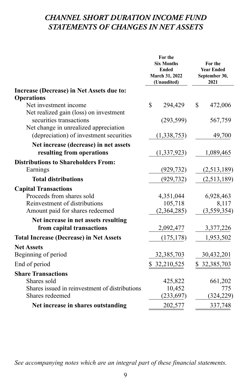### *CHANNEL SHORT DURATION INCOME FUND STATEMENTS OF CHANGES IN NET ASSETS*

|                                                                                  | For the<br><b>Six Months</b><br><b>Ended</b><br>March 31, 2022<br>(Unaudited) | For the<br>Year Ended<br>September 30,<br>2021 |
|----------------------------------------------------------------------------------|-------------------------------------------------------------------------------|------------------------------------------------|
| Increase (Decrease) in Net Assets due to:                                        |                                                                               |                                                |
| <b>Operations</b>                                                                |                                                                               |                                                |
| Net investment income                                                            | \$<br>294,429                                                                 | \$<br>472,006                                  |
| Net realized gain (loss) on investment                                           |                                                                               |                                                |
| securities transactions                                                          | (293, 599)                                                                    | 567,759                                        |
| Net change in unrealized appreciation<br>(depreciation) of investment securities |                                                                               | 49,700                                         |
|                                                                                  | (1,338,753)                                                                   |                                                |
| Net increase (decrease) in net assets                                            |                                                                               |                                                |
| resulting from operations                                                        | (1,337,923)                                                                   | 1,089,465                                      |
| <b>Distributions to Shareholders From:</b>                                       |                                                                               |                                                |
| Earnings                                                                         | (929, 732)                                                                    | (2,513,189)                                    |
| <b>Total distributions</b>                                                       | (929, 732)                                                                    | (2,513,189)                                    |
| <b>Capital Transactions</b>                                                      |                                                                               |                                                |
| Proceeds from shares sold                                                        | 4,351,044                                                                     | 6,928,463                                      |
| Reinvestment of distributions                                                    | 105,718                                                                       | 8,117                                          |
| Amount paid for shares redeemed                                                  | (2,364,285)                                                                   | (3,559,354)                                    |
| Net increase in net assets resulting                                             |                                                                               |                                                |
| from capital transactions                                                        | 2,092,477                                                                     | 3,377,226                                      |
| <b>Total Increase (Decrease) in Net Assets</b>                                   | (175, 178)                                                                    | 1,953,502                                      |
| <b>Net Assets</b>                                                                |                                                                               |                                                |
| Beginning of period                                                              | 32,385,703                                                                    | 30,432,201                                     |
| End of period                                                                    | \$32,210,525                                                                  | \$32,385,703                                   |
| <b>Share Transactions</b>                                                        |                                                                               |                                                |
| Shares sold                                                                      | 425,822                                                                       | 661,202                                        |
| Shares issued in reinvestment of distributions                                   | 10,452                                                                        | 775                                            |
| Shares redeemed                                                                  | (233, 697)                                                                    | (324, 229)                                     |
| Net increase in shares outstanding                                               | 202,577                                                                       | 337,748                                        |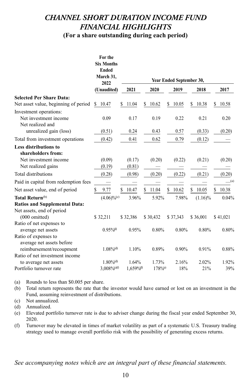### *CHANNEL SHORT DURATION INCOME FUND FINANCIAL HIGHLIGHTS* **(For a share outstanding during each period)**

|                                                  | For the<br><b>Six Months</b><br><b>Ended</b><br>March 31,<br>2022 |                         |            | Year Ended September 30, |            |                          |
|--------------------------------------------------|-------------------------------------------------------------------|-------------------------|------------|--------------------------|------------|--------------------------|
|                                                  | (Unaudited)                                                       | 2021                    | 2020       | 2019                     | 2018       | 2017                     |
| <b>Selected Per Share Data:</b>                  |                                                                   |                         |            |                          |            |                          |
| Net asset value, beginning of period             | 10.47<br>s                                                        | 11.04<br>S              | 10.62<br>S | 10.05<br>S               | 10.38<br>S | 10.58<br>S               |
| Investment operations:                           |                                                                   |                         |            |                          |            |                          |
| Net investment income<br>Net realized and        | 0.09                                                              | 0.17                    | 0.19       | 0.22                     | 0.21       | 0.20                     |
| unrealized gain (loss)                           | (0.51)                                                            | 0.24                    | 0.43       | 0.57                     | (0.33)     | (0.20)                   |
| Total from investment operations                 | (0.42)                                                            | 0.41                    | 0.62       | 0.79                     | (0.12)     |                          |
| <b>Less distributions to</b>                     |                                                                   |                         |            |                          |            |                          |
| shareholders from:                               |                                                                   |                         |            |                          |            |                          |
| Net investment income                            | (0.09)                                                            | (0.17)                  | (0.20)     | (0.22)                   | (0.21)     | (0.20)                   |
| Net realized gains                               | (0.19)                                                            | (0.81)                  |            |                          |            |                          |
| Total distributions                              | (0.28)                                                            | (0.98)                  | (0.20)     | (0.22)                   | (0.21)     | (0.20)                   |
| Paid in capital from redemption fees             |                                                                   |                         |            |                          |            | $\underline{\qquad}$ (a) |
| Net asset value, end of period                   | 9.77<br>S                                                         | 10.47<br>S              | S<br>11.04 | \$10.62                  | \$10.05    | \$10.38                  |
| Total Return <sup>(b)</sup>                      | $(4.06)\%$ <sup>(c)</sup>                                         | 3.96%                   | 5.92%      | 7.98%                    | $(1.16)\%$ | 0.04%                    |
| <b>Ratios and Supplemental Data:</b>             |                                                                   |                         |            |                          |            |                          |
| Net assets, end of period                        |                                                                   |                         |            |                          |            |                          |
| $(000 \text{ omitted})$                          | \$32,211                                                          | \$32,386                | \$30,432   | \$37,343                 | \$36,001   | \$41,021                 |
| Ratio of net expenses to                         |                                                                   |                         |            |                          |            |                          |
| average net assets                               | $0.95\%$ <sup>d)</sup>                                            | 0.95%                   | 0.80%      | 0.80%                    | 0.80%      | 0.80%                    |
| Ratio of expenses to                             |                                                                   |                         |            |                          |            |                          |
| average net assets before                        |                                                                   |                         |            |                          |            |                          |
| reimbursement/recoupment                         | $1.08\%$ <sup>(d)</sup>                                           | 1.10%                   | 0.89%      | 0.90%                    | 0.91%      | 0.88%                    |
| Ratio of net investment income                   | $1.80\%$ <sup>(d)</sup>                                           | 1.64%                   | 1.73%      | 2.16%                    | 2.02%      | 1.92%                    |
| to average net assets<br>Portfolio turnover rate | $3,008\%$ <sup>c)(f)</sup>                                        | $1,659\%$ <sup>ff</sup> | 178%       | 18%                      | 21%        | 39%                      |
|                                                  |                                                                   |                         |            |                          |            |                          |

(a) Rounds to less than \$0.005 per share.

(b) Total return represents the rate that the investor would have earned or lost on an investment in the Fund, assuming reinvestment of distributions.

(c) Not annualized.

(d) Annualized.

(e) Elevated portfolio turnover rate is due to adviser change during the fiscal year ended September 30, 2020.

(f) Turnover may be elevated in times of market volatility as part of a systematic U.S. Treasury trading strategy used to manage overall portfolio risk with the possibility of generating excess returns.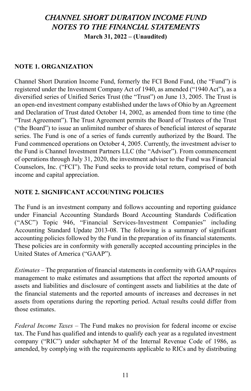### **NOTE 1. ORGANIZATION**

Channel Short Duration Income Fund, formerly the FCI Bond Fund, (the "Fund") is registered under the Investment Company Act of 1940, as amended ("1940 Act"), as a diversified series of Unified Series Trust (the "Trust") on June 13, 2005. The Trust is an open-end investment company established under the laws of Ohio by an Agreement and Declaration of Trust dated October 14, 2002, as amended from time to time (the "Trust Agreement"). The Trust Agreement permits the Board of Trustees of the Trust ("the Board") to issue an unlimited number of shares of beneficial interest of separate series. The Fund is one of a series of funds currently authorized by the Board. The Fund commenced operations on October 4, 2005. Currently, the investment adviser to the Fund is Channel Investment Partners LLC (the "Adviser"). From commencement of operations through July 31, 2020, the investment adviser to the Fund was Financial Counselors, Inc. ("FCI"). The Fund seeks to provide total return, comprised of both income and capital appreciation.

### **NOTE 2. SIGNIFICANT ACCOUNTING POLICIES**

The Fund is an investment company and follows accounting and reporting guidance under Financial Accounting Standards Board Accounting Standards Codification ("ASC") Topic 946, "Financial Services-Investment Companies" including Accounting Standard Update 2013-08. The following is a summary of significant accounting policies followed by the Fund in the preparation of its financial statements. These policies are in conformity with generally accepted accounting principles in the United States of America ("GAAP").

*Estimates* – The preparation of financial statements in conformity with GAAP requires management to make estimates and assumptions that affect the reported amounts of assets and liabilities and disclosure of contingent assets and liabilities at the date of the financial statements and the reported amounts of increases and decreases in net assets from operations during the reporting period. Actual results could differ from those estimates.

*Federal Income Taxes* – The Fund makes no provision for federal income or excise tax. The Fund has qualified and intends to qualify each year as a regulated investment company ("RIC") under subchapter M of the Internal Revenue Code of 1986, as amended, by complying with the requirements applicable to RICs and by distributing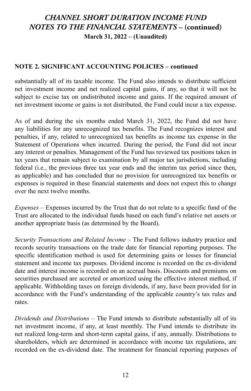#### **NOTE 2. SIGNIFICANT ACCOUNTING POLICIES – continued**

substantially all of its taxable income. The Fund also intends to distribute sufficient net investment income and net realized capital gains, if any, so that it will not be subject to excise tax on undistributed income and gains. If the required amount of net investment income or gains is not distributed, the Fund could incur a tax expense.

As of and during the six months ended March 31, 2022, the Fund did not have any liabilities for any unrecognized tax benefits. The Fund recognizes interest and penalties, if any, related to unrecognized tax benefits as income tax expense in the Statement of Operations when incurred. During the period, the Fund did not incur any interest or penalties. Management of the Fund has reviewed tax positions taken in tax years that remain subject to examination by all major tax jurisdictions, including federal (i.e., the previous three tax year ends and the interim tax period since then, as applicable) and has concluded that no provision for unrecognized tax benefits or expenses is required in these financial statements and does not expect this to change over the next twelve months.

*Expenses* – Expenses incurred by the Trust that do not relate to a specific fund of the Trust are allocated to the individual funds based on each fund's relative net assets or another appropriate basis (as determined by the Board).

*Security Transactions and Related Income* – The Fund follows industry practice and records security transactions on the trade date for financial reporting purposes. The specific identification method is used for determining gains or losses for financial statement and income tax purposes. Dividend income is recorded on the ex-dividend date and interest income is recorded on an accrual basis. Discounts and premiums on securities purchased are accreted or amortized using the effective interest method, if applicable. Withholding taxes on foreign dividends, if any, have been provided for in accordance with the Fund's understanding of the applicable country's tax rules and rates.

*Dividends and Distributions* – The Fund intends to distribute substantially all of its net investment income, if any, at least monthly. The Fund intends to distribute its net realized long-term and short-term capital gains, if any, annually. Distributions to shareholders, which are determined in accordance with income tax regulations, are recorded on the ex-dividend date. The treatment for financial reporting purposes of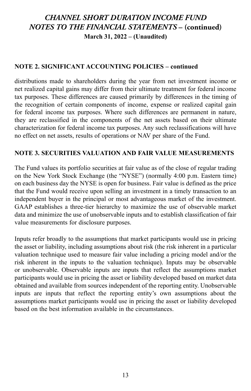#### **NOTE 2. SIGNIFICANT ACCOUNTING POLICIES – continued**

distributions made to shareholders during the year from net investment income or net realized capital gains may differ from their ultimate treatment for federal income tax purposes. These differences are caused primarily by differences in the timing of the recognition of certain components of income, expense or realized capital gain for federal income tax purposes. Where such differences are permanent in nature, they are reclassified in the components of the net assets based on their ultimate characterization for federal income tax purposes. Any such reclassifications will have no effect on net assets, results of operations or NAV per share of the Fund.

#### **NOTE 3. SECURITIES VALUATION AND FAIR VALUE MEASUREMENTS**

The Fund values its portfolio securities at fair value as of the close of regular trading on the New York Stock Exchange (the "NYSE") (normally 4:00 p.m. Eastern time) on each business day the NYSE is open for business. Fair value is defined as the price that the Fund would receive upon selling an investment in a timely transaction to an independent buyer in the principal or most advantageous market of the investment. GAAP establishes a three-tier hierarchy to maximize the use of observable market data and minimize the use of unobservable inputs and to establish classification of fair value measurements for disclosure purposes.

Inputs refer broadly to the assumptions that market participants would use in pricing the asset or liability, including assumptions about risk (the risk inherent in a particular valuation technique used to measure fair value including a pricing model and/or the risk inherent in the inputs to the valuation technique). Inputs may be observable or unobservable. Observable inputs are inputs that reflect the assumptions market participants would use in pricing the asset or liability developed based on market data obtained and available from sources independent of the reporting entity. Unobservable inputs are inputs that reflect the reporting entity's own assumptions about the assumptions market participants would use in pricing the asset or liability developed based on the best information available in the circumstances.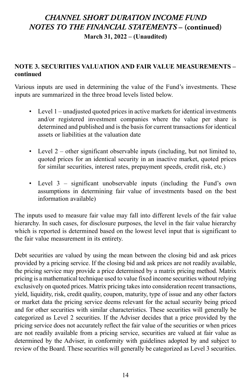### **NOTE 3. SECURITIES VALUATION AND FAIR VALUE MEASUREMENTS – continued**

Various inputs are used in determining the value of the Fund's investments. These inputs are summarized in the three broad levels listed below.

- Level 1 unadjusted quoted prices in active markets for identical investments and/or registered investment companies where the value per share is determined and published and is the basis for current transactions for identical assets or liabilities at the valuation date
- Level 2 other significant observable inputs (including, but not limited to, quoted prices for an identical security in an inactive market, quoted prices for similar securities, interest rates, prepayment speeds, credit risk, etc.)
- Level 3 significant unobservable inputs (including the Fund's own assumptions in determining fair value of investments based on the best information available)

The inputs used to measure fair value may fall into different levels of the fair value hierarchy. In such cases, for disclosure purposes, the level in the fair value hierarchy which is reported is determined based on the lowest level input that is significant to the fair value measurement in its entirety.

Debt securities are valued by using the mean between the closing bid and ask prices provided by a pricing service. If the closing bid and ask prices are not readily available, the pricing service may provide a price determined by a matrix pricing method. Matrix pricing is a mathematical technique used to value fixed income securities without relying exclusively on quoted prices. Matrix pricing takes into consideration recent transactions, yield, liquidity, risk, credit quality, coupon, maturity, type of issue and any other factors or market data the pricing service deems relevant for the actual security being priced and for other securities with similar characteristics. These securities will generally be categorized as Level 2 securities. If the Adviser decides that a price provided by the pricing service does not accurately reflect the fair value of the securities or when prices are not readily available from a pricing service, securities are valued at fair value as determined by the Adviser, in conformity with guidelines adopted by and subject to review of the Board. These securities will generally be categorized as Level 3 securities.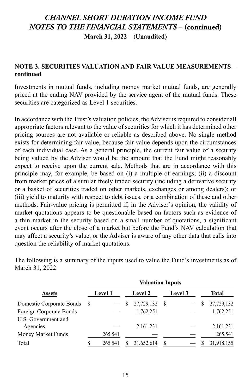#### **NOTE 3. SECURITIES VALUATION AND FAIR VALUE MEASUREMENTS – continued**

Investments in mutual funds, including money market mutual funds, are generally priced at the ending NAV provided by the service agent of the mutual funds. These securities are categorized as Level 1 securities.

In accordance with the Trust's valuation policies, the Adviser is required to consider all appropriate factors relevant to the value of securities for which it has determined other pricing sources are not available or reliable as described above. No single method exists for determining fair value, because fair value depends upon the circumstances of each individual case. As a general principle, the current fair value of a security being valued by the Adviser would be the amount that the Fund might reasonably expect to receive upon the current sale. Methods that are in accordance with this principle may, for example, be based on (i) a multiple of earnings; (ii) a discount from market prices of a similar freely traded security (including a derivative security or a basket of securities traded on other markets, exchanges or among dealers); or (iii) yield to maturity with respect to debt issues, or a combination of these and other methods. Fair-value pricing is permitted if, in the Adviser's opinion, the validity of market quotations appears to be questionable based on factors such as evidence of a thin market in the security based on a small number of quotations, a significant event occurs after the close of a market but before the Fund's NAV calculation that may affect a security's value, or the Adviser is aware of any other data that calls into question the reliability of market quotations.

The following is a summary of the inputs used to value the Fund's investments as of March 31, 2022:

|                          | <b>Valuation Inputs</b> |                |   |                |    |         |   |            |
|--------------------------|-------------------------|----------------|---|----------------|----|---------|---|------------|
| <b>Assets</b>            |                         | <b>Level 1</b> |   | <b>Level 2</b> |    | Level 3 |   | Total      |
| Domestic Corporate Bonds | S                       |                | S | 27,729,132     | -S |         | S | 27,729,132 |
| Foreign Corporate Bonds  |                         |                |   | 1,762,251      |    |         |   | 1,762,251  |
| U.S. Government and      |                         |                |   |                |    |         |   |            |
| Agencies                 |                         |                |   | 2,161,231      |    |         |   | 2,161,231  |
| Money Market Funds       |                         | 265,541        |   |                |    |         |   | 265,541    |
| Total                    |                         | 265,541        |   | 31,652,614     |    |         |   | 31,918,155 |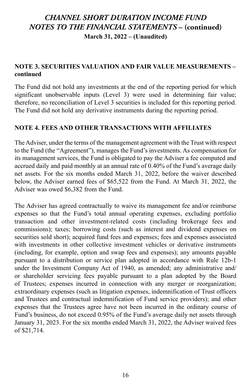#### **NOTE 3. SECURITIES VALUATION AND FAIR VALUE MEASUREMENTS – continued**

The Fund did not hold any investments at the end of the reporting period for which significant unobservable inputs (Level 3) were used in determining fair value; therefore, no reconciliation of Level 3 securities is included for this reporting period. The Fund did not hold any derivative instruments during the reporting period.

#### **NOTE 4. FEES AND OTHER TRANSACTIONS WITH AFFILIATES**

The Adviser, under the terms of the management agreement with the Trust with respect to the Fund (the "Agreement"), manages the Fund's investments. As compensation for its management services, the Fund is obligated to pay the Adviser a fee computed and accrued daily and paid monthly at an annual rate of 0.40% of the Fund's average daily net assets. For the six months ended March 31, 2022, before the waiver described below, the Adviser earned fees of \$65,522 from the Fund. At March 31, 2022, the Adviser was owed \$6,382 from the Fund.

The Adviser has agreed contractually to waive its management fee and/or reimburse expenses so that the Fund's total annual operating expenses, excluding portfolio transaction and other investment-related costs (including brokerage fees and commissions); taxes; borrowing costs (such as interest and dividend expenses on securities sold short); acquired fund fees and expenses; fees and expenses associated with investments in other collective investment vehicles or derivative instruments (including, for example, option and swap fees and expenses); any amounts payable pursuant to a distribution or service plan adopted in accordance with Rule 12b-1 under the Investment Company Act of 1940, as amended; any administrative and/ or shareholder servicing fees payable pursuant to a plan adopted by the Board of Trustees; expenses incurred in connection with any merger or reorganization; extraordinary expenses (such as litigation expenses, indemnification of Trust officers and Trustees and contractual indemnification of Fund service providers); and other expenses that the Trustees agree have not been incurred in the ordinary course of Fund's business, do not exceed 0.95% of the Fund's average daily net assets through January 31, 2023. For the six months ended March 31, 2022, the Adviser waived fees of \$21,714.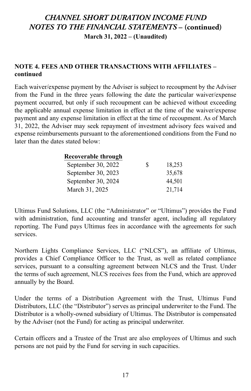### **NOTE 4. FEES AND OTHER TRANSACTIONS WITH AFFILIATES – continued**

Each waiver/expense payment by the Adviser is subject to recoupment by the Adviser from the Fund in the three years following the date the particular waiver/expense payment occurred, but only if such recoupment can be achieved without exceeding the applicable annual expense limitation in effect at the time of the waiver/expense payment and any expense limitation in effect at the time of recoupment. As of March 31, 2022, the Adviser may seek repayment of investment advisory fees waived and expense reimbursements pursuant to the aforementioned conditions from the Fund no later than the dates stated below:

| Recoverable through |   |        |
|---------------------|---|--------|
| September 30, 2022  | S | 18,253 |
| September 30, 2023  |   | 35,678 |
| September 30, 2024  |   | 44.501 |
| March 31, 2025      |   | 21.714 |

Ultimus Fund Solutions, LLC (the "Administrator" or "Ultimus") provides the Fund with administration, fund accounting and transfer agent, including all regulatory reporting. The Fund pays Ultimus fees in accordance with the agreements for such services.

Northern Lights Compliance Services, LLC ("NLCS"), an affiliate of Ultimus, provides a Chief Compliance Officer to the Trust, as well as related compliance services, pursuant to a consulting agreement between NLCS and the Trust. Under the terms of such agreement, NLCS receives fees from the Fund, which are approved annually by the Board.

Under the terms of a Distribution Agreement with the Trust, Ultimus Fund Distributors, LLC (the "Distributor") serves as principal underwriter to the Fund. The Distributor is a wholly-owned subsidiary of Ultimus. The Distributor is compensated by the Adviser (not the Fund) for acting as principal underwriter.

Certain officers and a Trustee of the Trust are also employees of Ultimus and such persons are not paid by the Fund for serving in such capacities.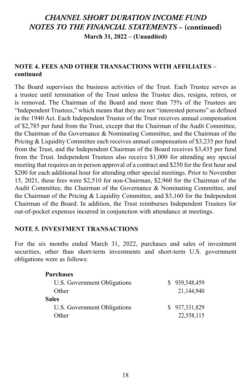#### **NOTE 4. FEES AND OTHER TRANSACTIONS WITH AFFILIATES – continued**

The Board supervises the business activities of the Trust. Each Trustee serves as a trustee until termination of the Trust unless the Trustee dies, resigns, retires, or is removed. The Chairman of the Board and more than 75% of the Trustees are "Independent Trustees," which means that they are not "interested persons" as defined in the 1940 Act. Each Independent Trustee of the Trust receives annual compensation of \$2,785 per fund from the Trust, except that the Chairman of the Audit Committee, the Chairman of the Governance & Nominating Committee, and the Chairman of the Pricing & Liquidity Committee each receives annual compensation of \$3,235 per fund from the Trust, and the Independent Chairman of the Board receives \$3,435 per fund from the Trust. Independent Trustees also receive \$1,000 for attending any special meeting that requires an in person approval of a contract and \$250 for the first hour and \$200 for each additional hour for attending other special meetings. Prior to November 15, 2021, these fees were \$2,510 for non-Chairman, \$2,960 for the Chairman of the Audit Committee, the Chairman of the Governance & Nominating Committee, and the Chairman of the Pricing & Liquidity Committee, and \$3,160 for the Independent Chairman of the Board. In addition, the Trust reimburses Independent Trustees for out-of-pocket expenses incurred in conjunction with attendance at meetings.

#### **NOTE 5. INVESTMENT TRANSACTIONS**

For the six months ended March 31, 2022, purchases and sales of investment securities, other than short-term investments and short-term U.S. government obligations were as follows:

| \$939,548,459 |
|---------------|
| 21,144,940    |
|               |
| \$937,331,829 |
| 22,558,115    |
|               |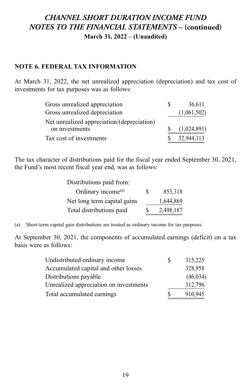#### **NOTE 6. FEDERAL TAX INFORMATION**

At March 31, 2022, the net unrealized appreciation (depreciation) and tax cost of investments for tax purposes was as follows:

| Gross unrealized appreciation              | 36,611      |
|--------------------------------------------|-------------|
| Gross unrealized depreciation              | (1,061,502) |
| Net unrealized appreciation/(depreciation) |             |
| on investments                             | (1,024,891) |
| Tax cost of investments                    | 32,944,113  |

The tax character of distributions paid for the fiscal year ended September 30, 2021, the Fund's most recent fiscal year end, was as follows:

| Distributions paid from:       |    |           |
|--------------------------------|----|-----------|
| Ordinary income <sup>(a)</sup> | S. | 853.318   |
| Net long term capital gains    |    | 1,644,869 |
| Total distributions paid       | S  | 2,498,187 |

(a) Short-term capital gain distributions are treated as ordinary income for tax purposes.

At September 30, 2021, the components of accumulated earnings (deficit) on a tax basis were as follows:

| Undistributed ordinary income          | S  | 315,225   |
|----------------------------------------|----|-----------|
| Accumulated capital and other losses   |    | 328,958   |
| Distributions payable                  |    | (46, 034) |
| Unrealized appreciation on investments |    | 312,796   |
| Total accumulated earnings             | S. | 910,945   |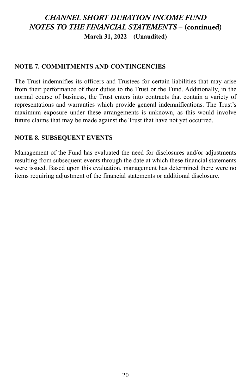#### **NOTE 7. COMMITMENTS AND CONTINGENCIES**

The Trust indemnifies its officers and Trustees for certain liabilities that may arise from their performance of their duties to the Trust or the Fund. Additionally, in the normal course of business, the Trust enters into contracts that contain a variety of representations and warranties which provide general indemnifications. The Trust's maximum exposure under these arrangements is unknown, as this would involve future claims that may be made against the Trust that have not yet occurred.

#### **NOTE 8. SUBSEQUENT EVENTS**

Management of the Fund has evaluated the need for disclosures and/or adjustments resulting from subsequent events through the date at which these financial statements were issued. Based upon this evaluation, management has determined there were no items requiring adjustment of the financial statements or additional disclosure.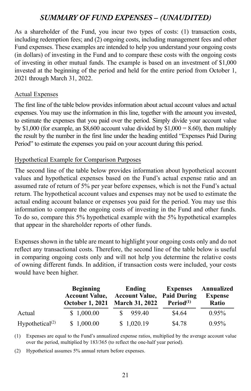### *SUMMARY OF FUND EXPENSES – (UNAUDITED)*

As a shareholder of the Fund, you incur two types of costs: (1) transaction costs, including redemption fees; and (2) ongoing costs, including management fees and other Fund expenses. These examples are intended to help you understand your ongoing costs (in dollars) of investing in the Fund and to compare these costs with the ongoing costs of investing in other mutual funds. The example is based on an investment of \$1,000 invested at the beginning of the period and held for the entire period from October 1, 2021 through March 31, 2022.

#### Actual Expenses

The first line of the table below provides information about actual account values and actual expenses. You may use the information in this line, together with the amount you invested, to estimate the expenses that you paid over the period. Simply divide your account value by \$1,000 (for example, an \$8,600 account value divided by  $$1,000 = 8.60$ ), then multiply the result by the number in the first line under the heading entitled "Expenses Paid During Period" to estimate the expenses you paid on your account during this period.

#### Hypothetical Example for Comparison Purposes

The second line of the table below provides information about hypothetical account values and hypothetical expenses based on the Fund's actual expense ratio and an assumed rate of return of 5% per year before expenses, which is not the Fund's actual return. The hypothetical account values and expenses may not be used to estimate the actual ending account balance or expenses you paid for the period. You may use this information to compare the ongoing costs of investing in the Fund and other funds. To do so, compare this 5% hypothetical example with the 5% hypothetical examples that appear in the shareholder reports of other funds.

Expenses shown in the table are meant to highlight your ongoing costs only and do not reflect any transactional costs. Therefore, the second line of the table below is useful in comparing ongoing costs only and will not help you determine the relative costs of owning different funds. In addition, if transaction costs were included, your costs would have been higher.

|                             | <b>Beginning</b><br><b>Account Value,</b><br><b>October 1, 2021</b> | Ending<br><b>Account Value,</b><br><b>March 31, 2022</b> | <b>Expenses</b><br><b>Paid During</b><br>Period <sup>(1)</sup> | Annualized<br><b>Expense</b><br>Ratio |
|-----------------------------|---------------------------------------------------------------------|----------------------------------------------------------|----------------------------------------------------------------|---------------------------------------|
| Actual                      | \$1,000.00                                                          | 959.40                                                   | \$4.64                                                         | $0.95\%$                              |
| Hypothetical <sup>(2)</sup> | \$1,000.00                                                          | \$1,020.19                                               | \$4.78                                                         | 0.95%                                 |

(1) Expenses are equal to the Fund's annualized expense ratios, multiplied by the average account value over the period, multiplied by 183/365 (to reflect the one-half year period).

(2) Hypothetical assumes 5% annual return before expenses.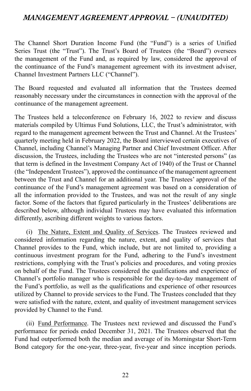### *MANAGEMENT AGREEMENT APPROVAL – (UNAUDITED)*

The Channel Short Duration Income Fund (the "Fund") is a series of Unified Series Trust (the "Trust"). The Trust's Board of Trustees (the "Board") oversees the management of the Fund and, as required by law, considered the approval of the continuance of the Fund's management agreement with its investment adviser, Channel Investment Partners LLC ("Channel").

The Board requested and evaluated all information that the Trustees deemed reasonably necessary under the circumstances in connection with the approval of the continuance of the management agreement.

The Trustees held a teleconference on February 16, 2022 to review and discuss materials compiled by Ultimus Fund Solutions, LLC, the Trust's administrator, with regard to the management agreement between the Trust and Channel. At the Trustees' quarterly meeting held in February 2022, the Board interviewed certain executives of Channel, including Channel's Managing Partner and Chief Investment Officer. After discussion, the Trustees, including the Trustees who are not "interested persons" (as that term is defined in the Investment Company Act of 1940) of the Trust or Channel (the "Independent Trustees"), approved the continuance of the management agreement between the Trust and Channel for an additional year. The Trustees' approval of the continuance of the Fund's management agreement was based on a consideration of all the information provided to the Trustees, and was not the result of any single factor. Some of the factors that figured particularly in the Trustees' deliberations are described below, although individual Trustees may have evaluated this information differently, ascribing different weights to various factors.

(i) The Nature, Extent and Quality of Services. The Trustees reviewed and considered information regarding the nature, extent, and quality of services that Channel provides to the Fund, which include, but are not limited to, providing a continuous investment program for the Fund, adhering to the Fund's investment restrictions, complying with the Trust's policies and procedures, and voting proxies on behalf of the Fund. The Trustees considered the qualifications and experience of Channel's portfolio manager who is responsible for the day-to-day management of the Fund's portfolio, as well as the qualifications and experience of other resources utilized by Channel to provide services to the Fund. The Trustees concluded that they were satisfied with the nature, extent, and quality of investment management services provided by Channel to the Fund.

(ii) Fund Performance. The Trustees next reviewed and discussed the Fund's performance for periods ended December 31, 2021. The Trustees observed that the Fund had outperformed both the median and average of its Morningstar Short-Term Bond category for the one-year, three-year, five-year and since inception periods.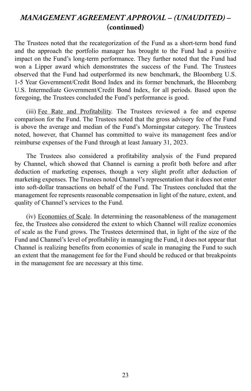### *MANAGEMENT AGREEMENT APPROVAL – (UNAUDITED)* **– (continued)**

The Trustees noted that the recategorization of the Fund as a short-term bond fund and the approach the portfolio manager has brought to the Fund had a positive impact on the Fund's long-term performance. They further noted that the Fund had won a Lipper award which demonstrates the success of the Fund. The Trustees observed that the Fund had outperformed its new benchmark, the Bloomberg U.S. 1-5 Year Government/Credit Bond Index and its former benchmark, the Bloomberg U.S. Intermediate Government/Credit Bond Index, for all periods. Based upon the foregoing, the Trustees concluded the Fund's performance is good.

(iii) Fee Rate and Profitability. The Trustees reviewed a fee and expense comparison for the Fund. The Trustees noted that the gross advisory fee of the Fund is above the average and median of the Fund's Morningstar category. The Trustees noted, however, that Channel has committed to waive its management fees and/or reimburse expenses of the Fund through at least January 31, 2023.

The Trustees also considered a profitability analysis of the Fund prepared by Channel, which showed that Channel is earning a profit both before and after deduction of marketing expenses, though a very slight profit after deduction of marketing expenses. The Trustees noted Channel's representation that it does not enter into soft-dollar transactions on behalf of the Fund. The Trustees concluded that the management fee represents reasonable compensation in light of the nature, extent, and quality of Channel's services to the Fund.

(iv) Economies of Scale. In determining the reasonableness of the management fee, the Trustees also considered the extent to which Channel will realize economies of scale as the Fund grows. The Trustees determined that, in light of the size of the Fund and Channel's level of profitability in managing the Fund, it does not appear that Channel is realizing benefits from economies of scale in managing the Fund to such an extent that the management fee for the Fund should be reduced or that breakpoints in the management fee are necessary at this time.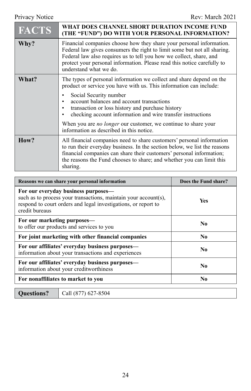| <b>FACTS</b> | WHAT DOES CHANNEL SHORT DURATION INCOME FUND<br>(THE "FUND") DO WITH YOUR PERSONAL INFORMATION?                                                                                                                                                                                                                                                                                                                                                           |
|--------------|-----------------------------------------------------------------------------------------------------------------------------------------------------------------------------------------------------------------------------------------------------------------------------------------------------------------------------------------------------------------------------------------------------------------------------------------------------------|
| Why?         | Financial companies choose how they share your personal information.<br>Federal law gives consumers the right to limit some but not all sharing.<br>Federal law also requires us to tell you how we collect, share, and<br>protect your personal information. Please read this notice carefully to<br>understand what we do.                                                                                                                              |
| What?        | The types of personal information we collect and share depend on the<br>product or service you have with us. This information can include:<br>Social Security number<br>account balances and account transactions<br>transaction or loss history and purchase history<br>checking account information and wire transfer instructions<br>When you are <i>no longer</i> our customer, we continue to share your<br>information as described in this notice. |
| How?         | All financial companies need to share customers' personal information<br>to run their everyday business. In the section below, we list the reasons<br>financial companies can share their customers' personal information;<br>the reasons the Fund chooses to share; and whether you can limit this<br>sharing.                                                                                                                                           |

| Reasons we can share your personal information                                                                                                                                             | Does the Fund share? |
|--------------------------------------------------------------------------------------------------------------------------------------------------------------------------------------------|----------------------|
| For our everyday business purposes—<br>such as to process your transactions, maintain your account(s),<br>respond to court orders and legal investigations, or report to<br>credit bureaus | <b>Yes</b>           |
| For our marketing purposes-<br>to offer our products and services to you                                                                                                                   | No                   |
| For joint marketing with other financial companies                                                                                                                                         | N <sub>0</sub>       |
| For our affiliates' everyday business purposes-<br>information about your transactions and experiences                                                                                     | No.                  |
| For our affiliates' everyday business purposes—<br>information about your creditworthiness                                                                                                 | No                   |
| For nonaffiliates to market to you                                                                                                                                                         | N <sub>0</sub>       |
|                                                                                                                                                                                            |                      |

**Questions?** Call (877) 627-8504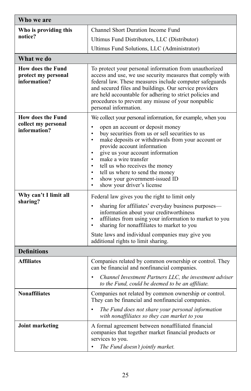| Who we are                                                      |                                                                                                                                                                                                                                                                                                                                                                                                                                                                                                                                                 |  |
|-----------------------------------------------------------------|-------------------------------------------------------------------------------------------------------------------------------------------------------------------------------------------------------------------------------------------------------------------------------------------------------------------------------------------------------------------------------------------------------------------------------------------------------------------------------------------------------------------------------------------------|--|
| Who is providing this                                           | Channel Short Duration Income Fund                                                                                                                                                                                                                                                                                                                                                                                                                                                                                                              |  |
| notice?                                                         | Ultimus Fund Distributors, LLC (Distributor)                                                                                                                                                                                                                                                                                                                                                                                                                                                                                                    |  |
|                                                                 | Ultimus Fund Solutions, LLC (Administrator)                                                                                                                                                                                                                                                                                                                                                                                                                                                                                                     |  |
| What we do                                                      |                                                                                                                                                                                                                                                                                                                                                                                                                                                                                                                                                 |  |
| <b>How does the Fund</b><br>protect my personal<br>information? | To protect your personal information from unauthorized<br>access and use, we use security measures that comply with<br>federal law. These measures include computer safeguards<br>and secured files and buildings. Our service providers<br>are held accountable for adhering to strict policies and<br>procedures to prevent any misuse of your nonpublic<br>personal information.                                                                                                                                                             |  |
| <b>How does the Fund</b><br>collect my personal<br>information? | We collect your personal information, for example, when you<br>open an account or deposit money<br>$\bullet$<br>buy securities from us or sell securities to us<br>make deposits or withdrawals from your account or<br>$\bullet$<br>provide account information<br>$\bullet$<br>give us your account information<br>make a wire transfer<br>$\bullet$<br>tell us who receives the money<br>$\bullet$<br>tell us where to send the money<br>$\bullet$<br>$\bullet$<br>show your government-issued ID<br>show your driver's license<br>$\bullet$ |  |
| Why can't I limit all<br>sharing?                               | Federal law gives you the right to limit only<br>$\bullet$<br>sharing for affiliates' everyday business purposes—<br>information about your creditworthiness<br>affiliates from using your information to market to you<br>$\bullet$<br>sharing for nonaffiliates to market to you<br>$\bullet$<br>State laws and individual companies may give you<br>additional rights to limit sharing.                                                                                                                                                      |  |
| <b>Definitions</b>                                              |                                                                                                                                                                                                                                                                                                                                                                                                                                                                                                                                                 |  |
| <b>Affiliates</b>                                               | Companies related by common ownership or control. They<br>can be financial and nonfinancial companies.<br>Channel Investment Partners LLC, the investment adviser<br>to the Fund, could be deemed to be an affiliate.                                                                                                                                                                                                                                                                                                                           |  |
| <b>Nonaffiliates</b>                                            | Companies not related by common ownership or control.<br>They can be financial and nonfinancial companies.<br>The Fund does not share your personal information                                                                                                                                                                                                                                                                                                                                                                                 |  |
| <b>Joint marketing</b>                                          | with nonaffiliates so they can market to you<br>A formal agreement between nonaffiliated financial<br>companies that together market financial products or<br>services to you.<br>The Fund doesn't jointly market.<br>$\bullet$                                                                                                                                                                                                                                                                                                                 |  |